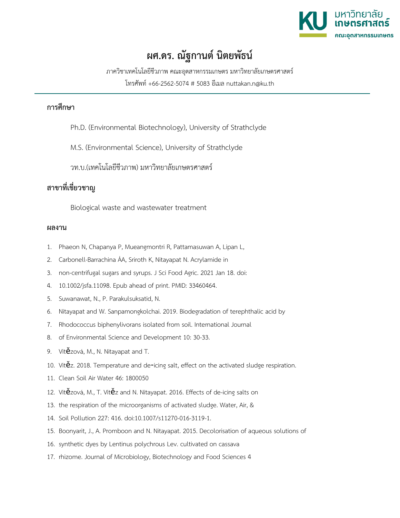

## **ผศ.ดร. ณัฐกานต์ นิตยพัธน์**

ภาควิชาเทคโนโลยีชีวภาพ คณะอุตสาหกรรมเกษตร มหาวิทยาลัยเกษตรศาสตร์

โทรศัพท์ +66-2562-5074 # 5083 อีเมล nuttakan.n@ku.th

## **การศึกษา**

Ph.D. (Environmental Biotechnology), University of Strathclyde

M.S. (Environmental Science), University of Strathclyde

วท.บ.(เทคโนโลยีชีวภาพ) มหาวิทยาลัยเกษตรศาสตร์

## **สาขาที่เชี่ยวชาญ**

Biological waste and wastewater treatment

## **ผลงาน**

- 1. Phaeon N, Chapanya P, Mueangmontri R, Pattamasuwan A, Lipan L,
- 2. Carbonell-Barrachina ÁA, Sriroth K, Nitayapat N. Acrylamide in
- 3. non-centrifugal sugars and syrups. J Sci Food Agric. 2021 Jan 18. doi:
- 4. 10.1002/jsfa.11098. Epub ahead of print. PMID: 33460464.
- 5. Suwanawat, N., P. Parakulsuksatid, N.
- 6. Nitayapat and W. Sanpamongkolchai. 2019. Biodegradation of terephthalic acid by
- 7. Rhodococcus biphenylivorans isolated from soil. International Journal
- 8. of Environmental Science and Development 10: 30-33.
- 9. Vítězová, M., N. Nitayapat and T.
- 10. Vítěz. 2018. Temperature and de-icing salt, effect on the activated sludge respiration.
- 11. Clean Soil Air Water 46: 1800050
- 12. Vítězová, M., T. Vítěz and N. Nitayapat. 2016. Effects of de-icing salts on
- 13. the respiration of the microorganisms of activated sludge. Water, Air, &
- 14. Soil Pollution 227: 416. doi:10.1007/s11270-016-3119-1.
- 15. Boonyarit, J., A. Promboon and N. Nitayapat. 2015. Decolorisation of aqueous solutions of
- 16. synthetic dyes by Lentinus polychrous Lev. cultivated on cassava
- 17. rhizome. Journal of Microbiology, Biotechnology and Food Sciences 4